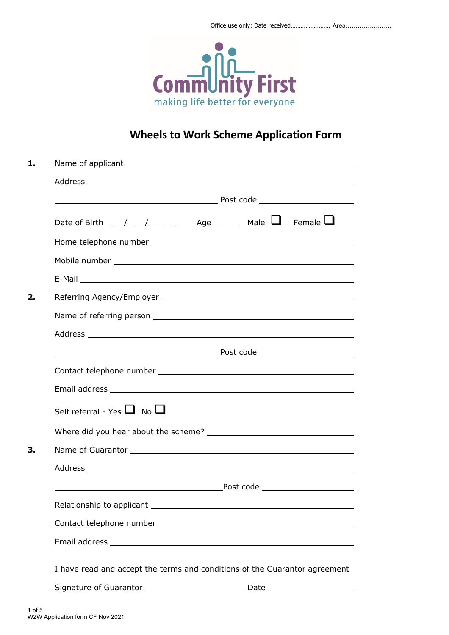

# **Wheels to Work Scheme Application Form**

| 1. |                                                                                                                                                                                                                                                                                                                    |  |  |  |
|----|--------------------------------------------------------------------------------------------------------------------------------------------------------------------------------------------------------------------------------------------------------------------------------------------------------------------|--|--|--|
|    |                                                                                                                                                                                                                                                                                                                    |  |  |  |
|    |                                                                                                                                                                                                                                                                                                                    |  |  |  |
|    | Date of Birth $\frac{1}{2}$ $\frac{1}{2}$ $\frac{1}{2}$ $\frac{1}{2}$ $\frac{1}{2}$ $\frac{1}{2}$ $\frac{1}{2}$ $\frac{1}{2}$ $\frac{1}{2}$ $\frac{1}{2}$ $\frac{1}{2}$ $\frac{1}{2}$ $\frac{1}{2}$ $\frac{1}{2}$ $\frac{1}{2}$ $\frac{1}{2}$ $\frac{1}{2}$ $\frac{1}{2}$ $\frac{1}{2}$ $\frac{1}{2}$ $\frac{1}{2$ |  |  |  |
|    |                                                                                                                                                                                                                                                                                                                    |  |  |  |
|    |                                                                                                                                                                                                                                                                                                                    |  |  |  |
|    |                                                                                                                                                                                                                                                                                                                    |  |  |  |
| 2. |                                                                                                                                                                                                                                                                                                                    |  |  |  |
|    |                                                                                                                                                                                                                                                                                                                    |  |  |  |
|    |                                                                                                                                                                                                                                                                                                                    |  |  |  |
|    |                                                                                                                                                                                                                                                                                                                    |  |  |  |
|    |                                                                                                                                                                                                                                                                                                                    |  |  |  |
|    |                                                                                                                                                                                                                                                                                                                    |  |  |  |
|    | Self referral - Yes $\Box$ No $\Box$                                                                                                                                                                                                                                                                               |  |  |  |
|    |                                                                                                                                                                                                                                                                                                                    |  |  |  |
| 3. |                                                                                                                                                                                                                                                                                                                    |  |  |  |
|    |                                                                                                                                                                                                                                                                                                                    |  |  |  |
|    |                                                                                                                                                                                                                                                                                                                    |  |  |  |
|    |                                                                                                                                                                                                                                                                                                                    |  |  |  |
|    |                                                                                                                                                                                                                                                                                                                    |  |  |  |
|    |                                                                                                                                                                                                                                                                                                                    |  |  |  |
|    | I have read and accept the terms and conditions of the Guarantor agreement                                                                                                                                                                                                                                         |  |  |  |
|    |                                                                                                                                                                                                                                                                                                                    |  |  |  |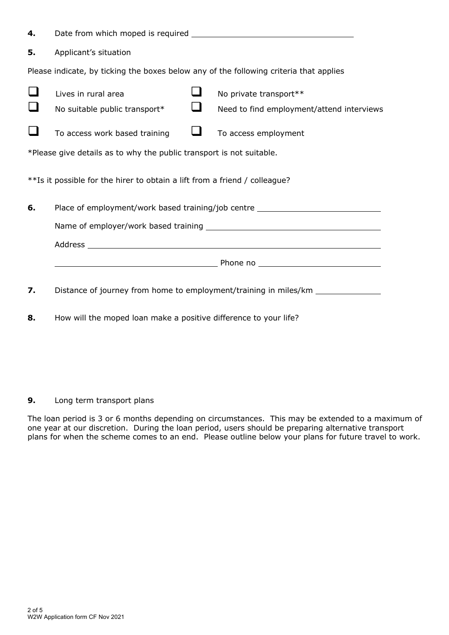| 4.                                                                         |                                                                                        |                                                                                                                   |  |  |  |
|----------------------------------------------------------------------------|----------------------------------------------------------------------------------------|-------------------------------------------------------------------------------------------------------------------|--|--|--|
| 5.                                                                         | Applicant's situation                                                                  |                                                                                                                   |  |  |  |
|                                                                            | Please indicate, by ticking the boxes below any of the following criteria that applies |                                                                                                                   |  |  |  |
|                                                                            | Lives in rural area<br>No suitable public transport*                                   | No private transport**<br>Need to find employment/attend interviews                                               |  |  |  |
|                                                                            | $\mathcal{L}_{\mathcal{A}}$<br>To access work based training                           | To access employment                                                                                              |  |  |  |
| *Please give details as to why the public transport is not suitable.       |                                                                                        |                                                                                                                   |  |  |  |
| **Is it possible for the hirer to obtain a lift from a friend / colleague? |                                                                                        |                                                                                                                   |  |  |  |
| 6.                                                                         | Place of employment/work based training/job centre _____________________________       |                                                                                                                   |  |  |  |
|                                                                            |                                                                                        |                                                                                                                   |  |  |  |
|                                                                            |                                                                                        |                                                                                                                   |  |  |  |
|                                                                            |                                                                                        | <b>Example 2016</b> Thomas Phone no <b>Example 2016</b> Phone no <b>Example 2016</b> Phone no <b>Example 2016</b> |  |  |  |
| 7.                                                                         |                                                                                        | Distance of journey from home to employment/training in miles/km _______________                                  |  |  |  |

**8.** How will the moped loan make a positive difference to your life?

**9.** Long term transport plans

The loan period is 3 or 6 months depending on circumstances. This may be extended to a maximum of one year at our discretion. During the loan period, users should be preparing alternative transport plans for when the scheme comes to an end. Please outline below your plans for future travel to work.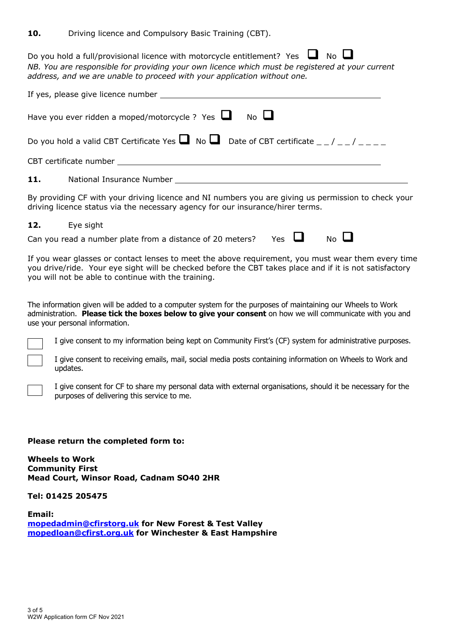**10.** Driving licence and Compulsory Basic Training (CBT).

Do you hold a full/provisional licence with motorcycle entitlement? Yes  $\Box$  No  $\Box$ *NB. You are responsible for providing your own licence which must be registered at your current address, and we are unable to proceed with your application without one.*

| Have you ever ridden a moped/motorcycle ? Yes $\Box$<br>$N0$ $\Box$ |  |  |
|---------------------------------------------------------------------|--|--|
|                                                                     |  |  |
|                                                                     |  |  |
| 11.<br>National Insurance Number                                    |  |  |

By providing CF with your driving licence and NI numbers you are giving us permission to check your driving licence status via the necessary agency for our insurance/hirer terms.

**12.** Eye sight Can you read a number plate from a distance of 20 meters? Yes  $\Box$  No  $\Box$ 

If you wear glasses or contact lenses to meet the above requirement, you must wear them every time you drive/ride. Your eye sight will be checked before the CBT takes place and if it is not satisfactory you will not be able to continue with the training.

The information given will be added to a computer system for the purposes of maintaining our Wheels to Work administration. **Please tick the boxes below to give your consent** on how we will communicate with you and use your personal information.

I give consent to my information being kept on Community First's (CF) system for administrative purposes.

I give consent to receiving emails, mail, social media posts containing information on Wheels to Work and updates.

I give consent for CF to share my personal data with external organisations, should it be necessary for the purposes of delivering this service to me.

### **Please return the completed form to:**

**Wheels to Work Community First Mead Court, Winsor Road, Cadnam SO40 2HR**

**Tel: 01425 205475**

**Email: mopedadmin@cfirstorg.uk for New Forest & Test Valley mopedloan@cfirst.org.uk for Winchester & East Hampshire**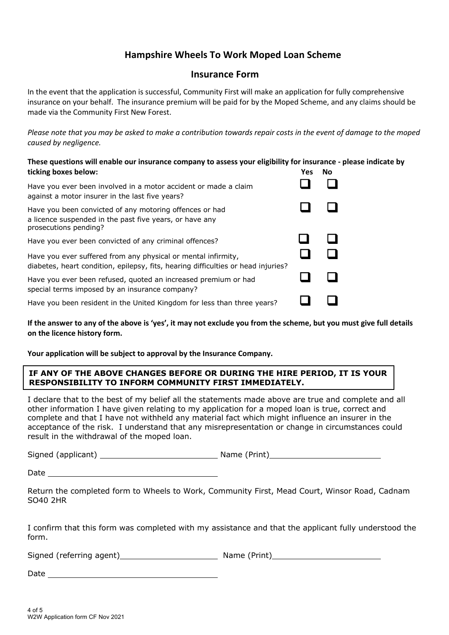# **Hampshire Wheels To Work Moped Loan Scheme**

## **Insurance Form**

In the event that the application is successful, Community First will make an application for fully comprehensive insurance on your behalf. The insurance premium will be paid for by the Moped Scheme, and any claims should be made via the Community First New Forest.

*Please note that you may be asked to make a contribution towards repair costs in the event of damage to the moped caused by negligence.*

| These questions will enable our insurance company to assess your eligibility for insurance - please indicate by<br>ticking boxes below:            | <b>Yes</b> | No. |
|----------------------------------------------------------------------------------------------------------------------------------------------------|------------|-----|
| Have you ever been involved in a motor accident or made a claim<br>against a motor insurer in the last five years?                                 |            |     |
| Have you been convicted of any motoring offences or had<br>a licence suspended in the past five years, or have any<br>prosecutions pending?        |            |     |
| Have you ever been convicted of any criminal offences?                                                                                             |            |     |
| Have you ever suffered from any physical or mental infirmity,<br>diabetes, heart condition, epilepsy, fits, hearing difficulties or head injuries? |            |     |
| Have you ever been refused, quoted an increased premium or had<br>special terms imposed by an insurance company?                                   |            |     |
| Have you been resident in the United Kingdom for less than three years?                                                                            |            |     |

**If the answer to any of the above is 'yes', it may not exclude you from the scheme, but you must give full details on the licence history form.**

**Your application will be subject to approval by the Insurance Company.**

### **IF ANY OF THE ABOVE CHANGES BEFORE OR DURING THE HIRE PERIOD, IT IS YOUR RESPONSIBILITY TO INFORM COMMUNITY FIRST IMMEDIATELY.**

I declare that to the best of my belief all the statements made above are true and complete and all other information I have given relating to my application for a moped loan is true, correct and complete and that I have not withheld any material fact which might influence an insurer in the acceptance of the risk. I understand that any misrepresentation or change in circumstances could result in the withdrawal of the moped loan.

Signed (applicant) Name (Print)

**Date** 

Return the completed form to Wheels to Work, Community First, Mead Court, Winsor Road, Cadnam SO40 2HR

I confirm that this form was completed with my assistance and that the applicant fully understood the form.

Signed (referring agent) Name (Print)

|  | me (Print) |  |  |
|--|------------|--|--|
|--|------------|--|--|